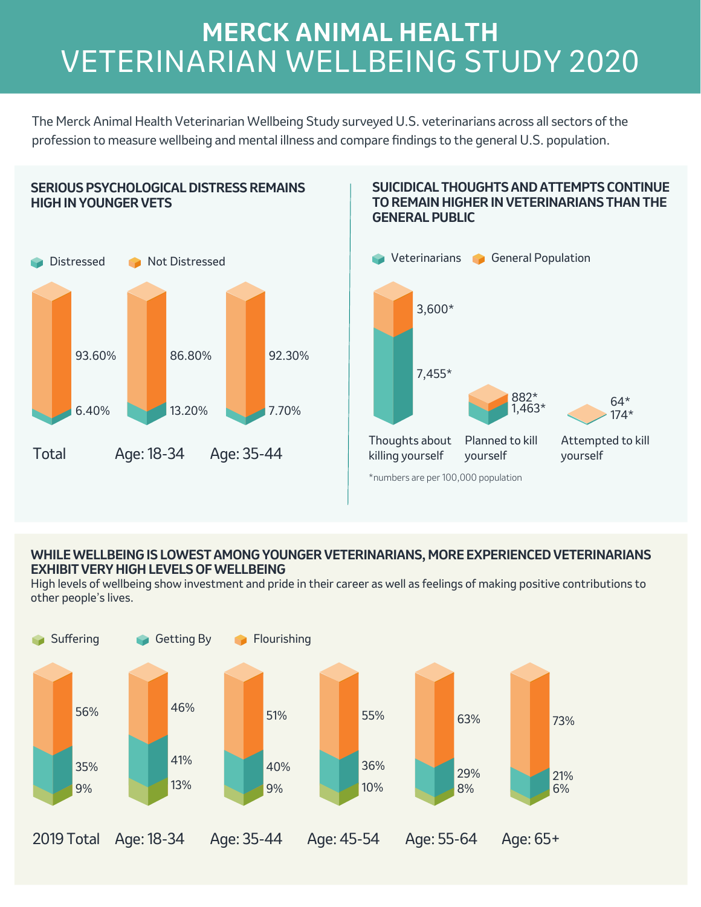# **MERCK ANIMAL HEALTH** VETERINARIAN WELLBEING STUDY 2020

The Merck Animal Health Veterinarian Wellbeing Study surveyed U.S. veterinarians across all sectors of the profession to measure wellbeing and mental illness and compare fndings to the general U.S. population.



#### **SUICIDICAL THOUGHTS AND ATTEMPTS CONTINUE TO REMAIN HIGHER IN VETERINARIANS THAN THE GENERAL PUBLIC**



\*numbers are per 100,000 population

## **WHILE WELLBEING IS LOWEST AMONG YOUNGER VETERINARIANS, MORE EXPERIENCED VETERINARIANS EXHIBIT VERY HIGH LEVELS OF WELLBEING**

High levels of wellbeing show investment and pride in their career as well as feelings of making positive contributions to other people's lives.